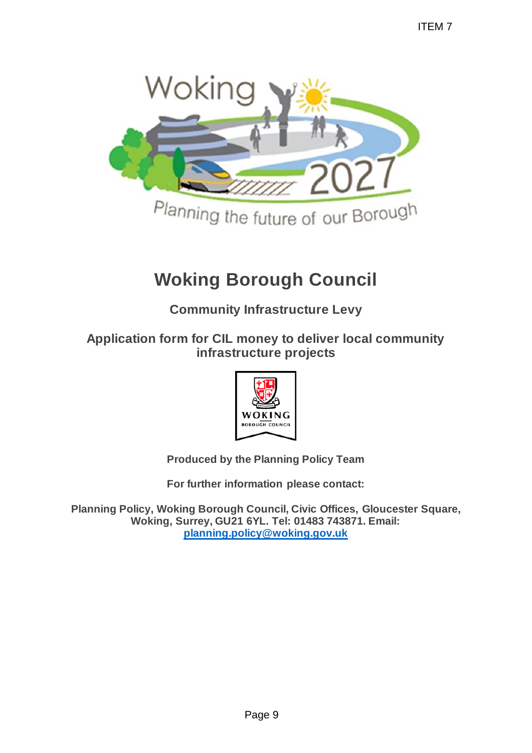

# **Woking Borough Council**

**Community Infrastructure Levy**

**Application form for CIL money to deliver local community infrastructure projects**



**Produced by the Planning Policy Team**

**For further information please contact:** 

**Planning Policy, Woking Borough Council, Civic Offices, Gloucester Square, Woking, Surrey, GU21 6YL. Tel: 01483 743871. Email: [planning.policy@woking.gov.uk](mailto:planning.policy@woking.gov.uk)**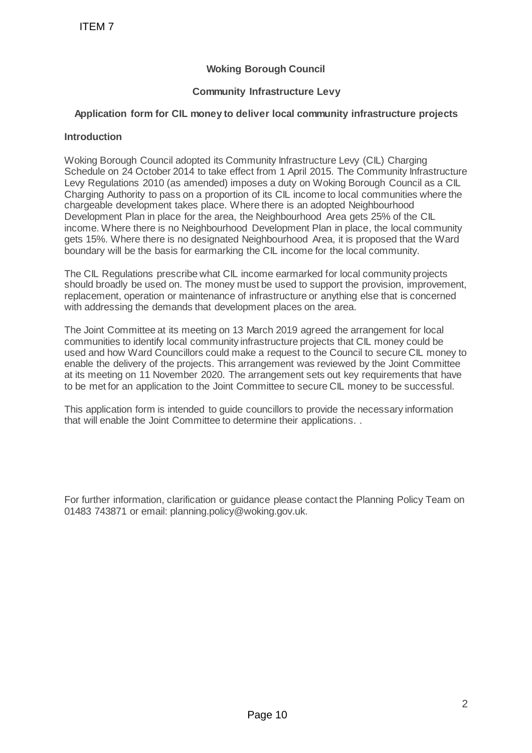## **Woking Borough Council**

### **Community Infrastructure Levy**

#### **Application form for CIL money to deliver local community infrastructure projects**

#### **Introduction**

Woking Borough Council adopted its Community Infrastructure Levy (CIL) Charging Schedule on 24 October 2014 to take effect from 1 April 2015. The Community Infrastructure Levy Regulations 2010 (as amended) imposes a duty on Woking Borough Council as a CIL Charging Authority to pass on a proportion of its CIL income to local communities where the chargeable development takes place. Where there is an adopted Neighbourhood Development Plan in place for the area, the Neighbourhood Area gets 25% of the CIL income. Where there is no Neighbourhood Development Plan in place, the local community gets 15%. Where there is no designated Neighbourhood Area, it is proposed that the Ward boundary will be the basis for earmarking the CIL income for the local community. Woking Borough<br>
Woking Borough<br>
Community Infrastru<br>
pplication form for CIL money to deliver loc<br>
oduction<br>
king Borough Council adopted its Community In<br>
leadule on 24 October 2014 to take effect from 1<br>
9. Regulations 2

The CIL Regulations prescribe what CIL income earmarked for local community projects should broadly be used on. The money must be used to support the provision, improvement, replacement, operation or maintenance of infrastructure or anything else that is concerned with addressing the demands that development places on the area.

The Joint Committee at its meeting on 13 March 2019 agreed the arrangement for local communities to identify local community infrastructure projects that CIL money could be used and how Ward Councillors could make a request to the Council to secure CIL money to enable the delivery of the projects. This arrangement was reviewed by the Joint Committee at its meeting on 11 November 2020. The arrangement sets out key requirements that have to be met for an application to the Joint Committee to secure CIL money to be successful.

This application form is intended to guide councillors to provide the necessary information that will enable the Joint Committee to determine their applications. .

For further information, clarification or guidance please contact the Planning Policy Team on 01483 743871 or email: planning.policy@woking.gov.uk.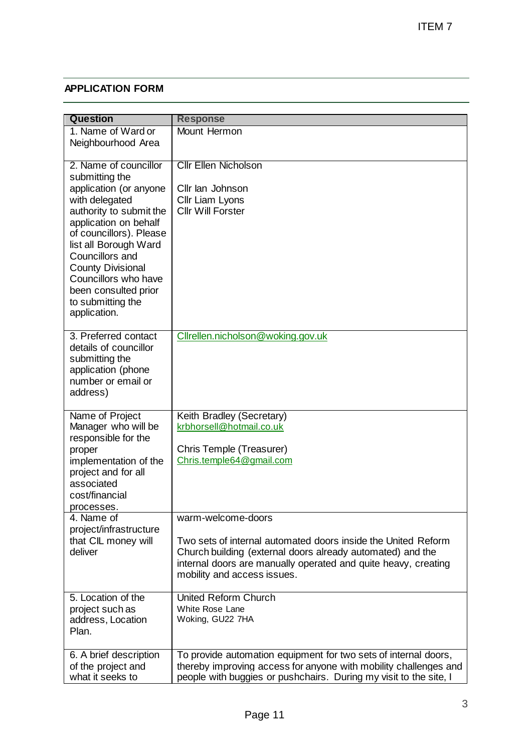## **APPLICATION FORM**

|                                                                                                                                                                                                                                                                                                                                 | ITEM 7                                                                                                                                                                                                                                             |
|---------------------------------------------------------------------------------------------------------------------------------------------------------------------------------------------------------------------------------------------------------------------------------------------------------------------------------|----------------------------------------------------------------------------------------------------------------------------------------------------------------------------------------------------------------------------------------------------|
|                                                                                                                                                                                                                                                                                                                                 |                                                                                                                                                                                                                                                    |
| <b>APPLICATION FORM</b>                                                                                                                                                                                                                                                                                                         |                                                                                                                                                                                                                                                    |
| <b>Question</b><br>1. Name of Ward or<br>Neighbourhood Area                                                                                                                                                                                                                                                                     | <b>Response</b><br>Mount Hermon                                                                                                                                                                                                                    |
| 2. Name of councillor<br>submitting the<br>application (or anyone<br>with delegated<br>authority to submit the<br>application on behalf<br>of councillors). Please<br>list all Borough Ward<br>Councillors and<br><b>County Divisional</b><br>Councillors who have<br>been consulted prior<br>to submitting the<br>application. | <b>Cllr Ellen Nicholson</b><br>Cllr lan Johnson<br>Cllr Liam Lyons<br><b>Cllr Will Forster</b>                                                                                                                                                     |
| 3. Preferred contact<br>details of councillor<br>submitting the<br>application (phone<br>number or email or<br>address)                                                                                                                                                                                                         | Cllrellen.nicholson@woking.gov.uk                                                                                                                                                                                                                  |
| Name of Project<br>Manager who will be<br>responsible for the<br>proper<br>implementation of the<br>project and for all<br>associated<br>cost/financial<br>processes.                                                                                                                                                           | Keith Bradley (Secretary)<br>krbhorsell@hotmail.co.uk<br>Chris Temple (Treasurer)<br>Chris.temple64@gmail.com                                                                                                                                      |
| 4. Name of<br>project/infrastructure<br>that CIL money will<br>deliver                                                                                                                                                                                                                                                          | warm-welcome-doors<br>Two sets of internal automated doors inside the United Reform<br>Church building (external doors already automated) and the<br>internal doors are manually operated and quite heavy, creating<br>mobility and access issues. |
| 5. Location of the<br>project such as<br>address, Location<br>Plan.                                                                                                                                                                                                                                                             | United Reform Church<br>White Rose Lane<br>Woking, GU22 7HA                                                                                                                                                                                        |
| 6. A brief description<br>of the project and<br>what it seeks to                                                                                                                                                                                                                                                                | To provide automation equipment for two sets of internal doors,<br>thereby improving access for anyone with mobility challenges and<br>people with buggies or pushchairs. During my visit to the site, I                                           |
|                                                                                                                                                                                                                                                                                                                                 | 3<br>Page 11                                                                                                                                                                                                                                       |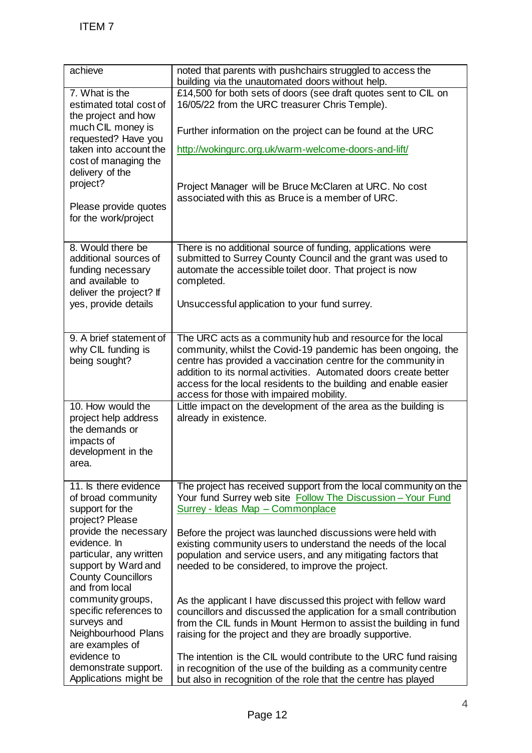| ITEM 7                                                                                                                                                                                                                      |                                                                                                                                                                                                                                                                                                                                                                                  |  |
|-----------------------------------------------------------------------------------------------------------------------------------------------------------------------------------------------------------------------------|----------------------------------------------------------------------------------------------------------------------------------------------------------------------------------------------------------------------------------------------------------------------------------------------------------------------------------------------------------------------------------|--|
|                                                                                                                                                                                                                             |                                                                                                                                                                                                                                                                                                                                                                                  |  |
| achieve                                                                                                                                                                                                                     | noted that parents with pushchairs struggled to access the<br>building via the unautomated doors without help.                                                                                                                                                                                                                                                                   |  |
| $\overline{7}$ . What is the<br>estimated total cost of<br>the project and how<br>much CIL money is<br>requested? Have you                                                                                                  | £14,500 for both sets of doors (see draft quotes sent to CIL on<br>16/05/22 from the URC treasurer Chris Temple).                                                                                                                                                                                                                                                                |  |
|                                                                                                                                                                                                                             | Further information on the project can be found at the URC                                                                                                                                                                                                                                                                                                                       |  |
| taken into account the<br>cost of managing the<br>delivery of the                                                                                                                                                           | http://wokingurc.org.uk/warm-welcome-doors-and-lift/                                                                                                                                                                                                                                                                                                                             |  |
| project?                                                                                                                                                                                                                    | Project Manager will be Bruce McClaren at URC. No cost<br>associated with this as Bruce is a member of URC.                                                                                                                                                                                                                                                                      |  |
| Please provide quotes<br>for the work/project                                                                                                                                                                               |                                                                                                                                                                                                                                                                                                                                                                                  |  |
| 8. Would there be<br>additional sources of<br>funding necessary<br>and available to<br>deliver the project? If<br>yes, provide details                                                                                      | There is no additional source of funding, applications were<br>submitted to Surrey County Council and the grant was used to<br>automate the accessible toilet door. That project is now<br>completed.                                                                                                                                                                            |  |
|                                                                                                                                                                                                                             | Unsuccessful application to your fund surrey.                                                                                                                                                                                                                                                                                                                                    |  |
| 9. A brief statement of<br>why CIL funding is<br>being sought?                                                                                                                                                              | The URC acts as a community hub and resource for the local<br>community, whilst the Covid-19 pandemic has been ongoing, the<br>centre has provided a vaccination centre for the community in<br>addition to its normal activities. Automated doors create better<br>access for the local residents to the building and enable easier<br>access for those with impaired mobility. |  |
| 10. How would the<br>project help address<br>the demands or<br>impacts of<br>development in the<br>area.                                                                                                                    | Little impact on the development of the area as the building is<br>already in existence.                                                                                                                                                                                                                                                                                         |  |
| 11. Is there evidence<br>of broad community<br>support for the<br>project? Please<br>provide the necessary<br>evidence. In<br>particular, any written<br>support by Ward and<br><b>County Councillors</b><br>and from local | The project has received support from the local community on the<br>Your fund Surrey web site Follow The Discussion - Your Fund<br>Surrey - Ideas Map - Commonplace                                                                                                                                                                                                              |  |
|                                                                                                                                                                                                                             | Before the project was launched discussions were held with<br>existing community users to understand the needs of the local<br>population and service users, and any mitigating factors that<br>needed to be considered, to improve the project.                                                                                                                                 |  |
| community groups,<br>specific references to<br>surveys and<br>Neighbourhood Plans<br>are examples of                                                                                                                        | As the applicant I have discussed this project with fellow ward<br>councillors and discussed the application for a small contribution<br>from the CIL funds in Mount Hermon to assist the building in fund<br>raising for the project and they are broadly supportive.                                                                                                           |  |
| evidence to<br>demonstrate support.<br>Applications might be                                                                                                                                                                | The intention is the CIL would contribute to the URC fund raising<br>in recognition of the use of the building as a community centre<br>but also in recognition of the role that the centre has played                                                                                                                                                                           |  |
| 4<br>Page 12                                                                                                                                                                                                                |                                                                                                                                                                                                                                                                                                                                                                                  |  |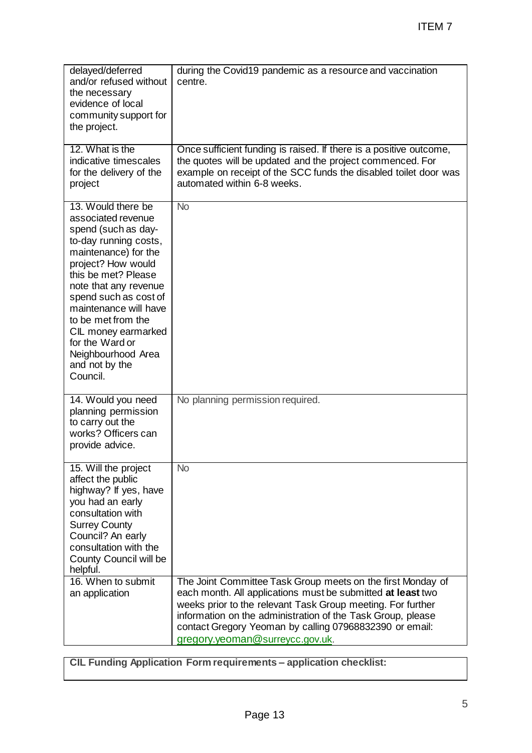|                                                                                                                                                                                                                                                                                                                                                              | <b>ITEM7</b>                                                                                                                                                                                                                                                                                                                                           |  |
|--------------------------------------------------------------------------------------------------------------------------------------------------------------------------------------------------------------------------------------------------------------------------------------------------------------------------------------------------------------|--------------------------------------------------------------------------------------------------------------------------------------------------------------------------------------------------------------------------------------------------------------------------------------------------------------------------------------------------------|--|
|                                                                                                                                                                                                                                                                                                                                                              |                                                                                                                                                                                                                                                                                                                                                        |  |
| delayed/deferred<br>and/or refused without<br>the necessary<br>evidence of local<br>community support for<br>the project.                                                                                                                                                                                                                                    | during the Covid19 pandemic as a resource and vaccination<br>centre.                                                                                                                                                                                                                                                                                   |  |
| 12. What is the<br>indicative timescales<br>for the delivery of the<br>project                                                                                                                                                                                                                                                                               | Once sufficient funding is raised. If there is a positive outcome,<br>the quotes will be updated and the project commenced. For<br>example on receipt of the SCC funds the disabled toilet door was<br>automated within 6-8 weeks.                                                                                                                     |  |
| 13. Would there be<br>associated revenue<br>spend (such as day-<br>to-day running costs,<br>maintenance) for the<br>project? How would<br>this be met? Please<br>note that any revenue<br>spend such as cost of<br>maintenance will have<br>to be met from the<br>CIL money earmarked<br>for the Ward or<br>Neighbourhood Area<br>and not by the<br>Council. | $\overline{N}$                                                                                                                                                                                                                                                                                                                                         |  |
| 14. Would you need<br>planning permission<br>to carry out the<br>works? Officers can<br>provide advice.                                                                                                                                                                                                                                                      | No planning permission required.                                                                                                                                                                                                                                                                                                                       |  |
| 15. Will the project<br>affect the public<br>highway? If yes, have<br>you had an early<br>consultation with<br><b>Surrey County</b><br>Council? An early<br>consultation with the<br>County Council will be<br>helpful.                                                                                                                                      | <b>No</b>                                                                                                                                                                                                                                                                                                                                              |  |
| 16. When to submit<br>an application                                                                                                                                                                                                                                                                                                                         | The Joint Committee Task Group meets on the first Monday of<br>each month. All applications must be submitted at least two<br>weeks prior to the relevant Task Group meeting. For further<br>information on the administration of the Task Group, please<br>contact Gregory Yeoman by calling 07968832390 or email:<br>gregory.yeoman@surreycc.gov.uk. |  |
|                                                                                                                                                                                                                                                                                                                                                              | <b>CIL Funding Application Form requirements - application checklist:</b>                                                                                                                                                                                                                                                                              |  |
|                                                                                                                                                                                                                                                                                                                                                              |                                                                                                                                                                                                                                                                                                                                                        |  |
| 5<br>Page 13                                                                                                                                                                                                                                                                                                                                                 |                                                                                                                                                                                                                                                                                                                                                        |  |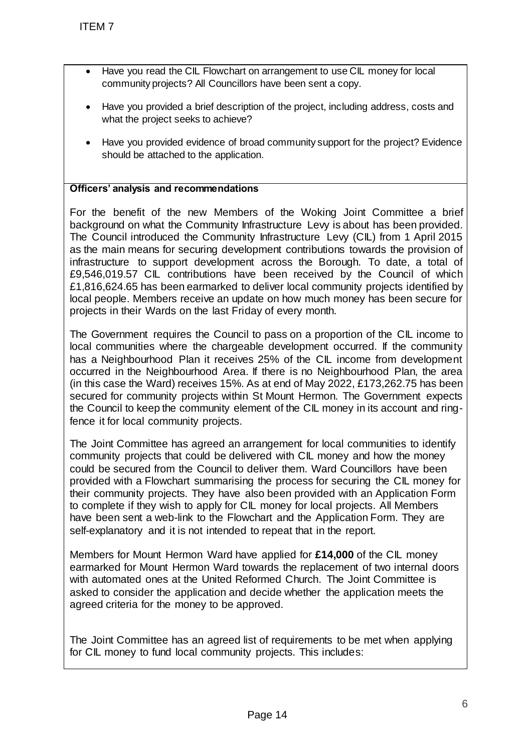- Have you read the CIL Flowchart on arrangement to use CIL money for local community projects? All Councillors have been sent a copy.
- Have you provided a brief description of the project, including address, costs and what the project seeks to achieve?
- Have you provided evidence of broad community support for the project? Evidence should be attached to the application.

## **Officers' analysis and recommendations**

For the benefit of the new Members of the Woking Joint Committee a brief background on what the Community Infrastructure Lew is about has been provided. The Council introduced the Community Infrastructure Levy (CIL) from 1 April 2015 as the main means for securing development contributions towards the provision of infrastructure to support development across the Borough. To date, a total of £9,546,019.57 CIL contributions have been received by the Council of which £1,816,624.65 has been earmarked to deliver local community projects identified by local people. Members receive an update on how much money has been secure for projects in their Wards on the last Friday of every month. TTEM 7<br>
• Have you read the CL Flowchart on arrance community projects? All Councillors have the way you provided a brief esception of the way way provided evidence of broad community frights.<br>
• Have you provided evidence

The Government requires the Council to pass on a proportion of the CIL income to local communities where the chargeable development occurred. If the community has a Neighbourhood Plan it receives 25% of the CIL income from development occurred in the Neighbourhood Area. If there is no Neighbourhood Plan, the area (in this case the Ward) receives 15%. As at end of May 2022, £173,262.75 has been secured for community projects within St Mount Hermon. The Government expects the Council to keep the community element of the CIL money in its account and ringfence it for local community projects.

The Joint Committee has agreed an arrangement for local communities to identify community projects that could be delivered with CIL money and how the money could be secured from the Council to deliver them. Ward Councillors have been provided with a Flowchart summarising the process for securing the CIL money for their community projects. They have also been provided with an Application Form to complete if they wish to apply for CIL money for local projects. All Members have been sent a web-link to the Flowchart and the Application Form. They are self-explanatory and it is not intended to repeat that in the report.

Members for Mount Hermon Ward have applied for **£14,000** of the CIL money earmarked for Mount Hermon Ward towards the replacement of two internal doors with automated ones at the United Reformed Church. The Joint Committee is asked to consider the application and decide whether the application meets the agreed criteria for the money to be approved.

The Joint Committee has an agreed list of requirements to be met when applying for CIL money to fund local community projects. This includes: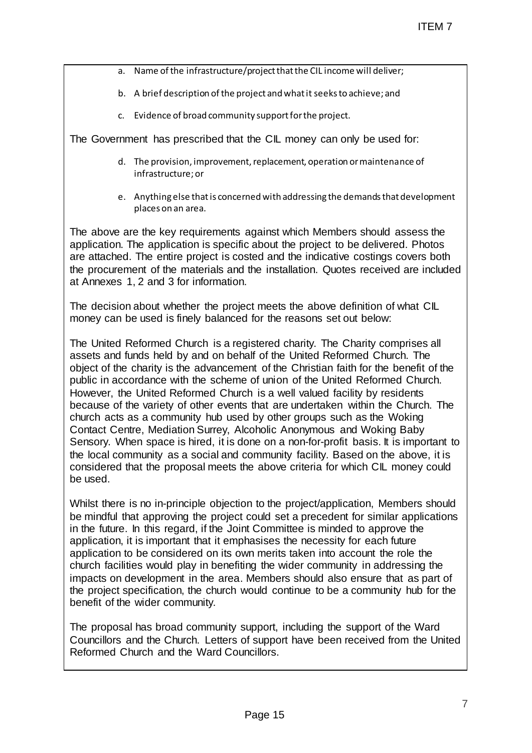- a. Name of the infrastructure/project that the CIL income will deliver;
- b. A brief description of the project and what it seeks to achieve; and
- c. Evidence of broad community support for the project.

The Government has prescribed that the CIL money can only be used for:

- d. The provision, improvement, replacement, operation or maintenance of infrastructure; or
- e. Anything else that is concerned with addressing the demands that development places on an area.

The above are the key requirements against which Members should assess the application. The application is specific about the project to be delivered. Photos are attached. The entire project is costed and the indicative costings covers both the procurement of the materials and the installation. Quotes received are included at Annexes 1, 2 and 3 for information.

The decision about whether the project meets the above definition of what CIL money can be used is finely balanced for the reasons set out below:

The United Reformed Church is a registered charity. The Charity comprises all assets and funds held by and on behalf of the United Reformed Church. The object of the charity is the advancement of the Christian faith for the benefit of the public in accordance with the scheme of union of the United Reformed Church. However, the United Reformed Church is a well valued facility by residents because of the variety of other events that are undertaken within the Church. The church acts as a community hub used by other groups such as the Woking Contact Centre, Mediation Surrey, Alcoholic Anonymous and Woking Baby Sensory. When space is hired, it is done on a non-for-profit basis. It is important to the local community as a social and community facility. Based on the above, it is considered that the proposal meets the above criteria for which CIL money could be used. ITEM 7<br>
Project that the CiL income will deliver;<br>
oject and what it seeks to achieve; and<br>
thy support for the project.<br>
the CIL money can only be used for:<br>
t, replacement, operation or maintenance of<br>
med with addressin

Whilst there is no in-principle objection to the project/application, Members should be mindful that approving the project could set a precedent for similar applications in the future. In this regard, if the Joint Committee is minded to approve the application, it is important that it emphasises the necessity for each future application to be considered on its own merits taken into account the role the church facilities would play in benefiting the wider community in addressing the impacts on development in the area. Members should also ensure that as part of the project specification, the church would continue to be a community hub for the benefit of the wider community.

The proposal has broad community support, including the support of the Ward Councillors and the Church. Letters of support have been received from the United Reformed Church and the Ward Councillors.